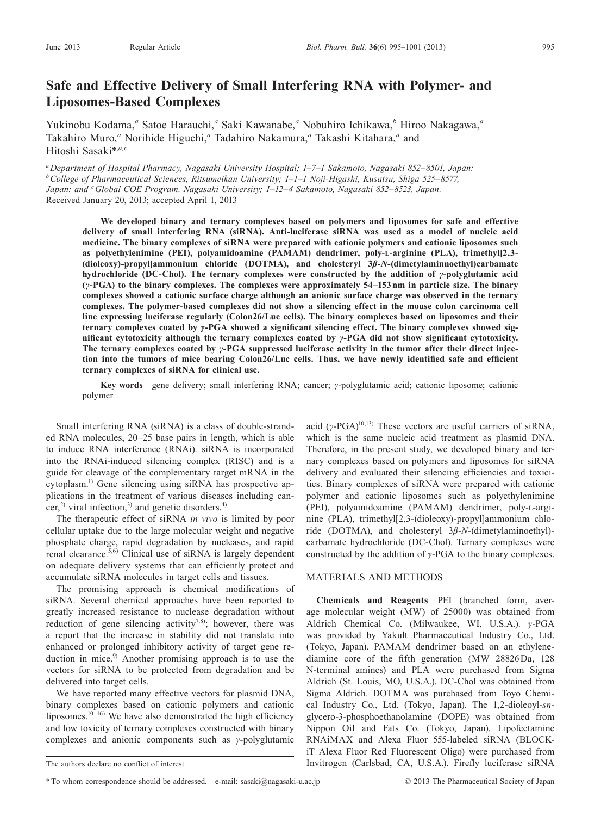# **Safe and Effective Delivery of Small Interfering RNA with Polymer- and Liposomes-Based Complexes**

Yukinobu Kodama,<sup>a</sup> Satoe Harauchi,<sup>a</sup> Saki Kawanabe,<sup>a</sup> Nobuhiro Ichikawa,<sup>b</sup> Hiroo Nakagawa,<sup>a</sup> Takahiro Muro,<sup>a</sup> Norihide Higuchi,<sup>a</sup> Tadahiro Nakamura,<sup>a</sup> Takashi Kitahara,<sup>a</sup> and Hitoshi Sasaki\*,*a,c*

*aDepartment of Hospital Pharmacy, Nagasaki University Hospital; 1–7–1 Sakamoto, Nagasaki 852–8501, Japan: bCollege of Pharmaceutical Sciences, Ritsumeikan University; 1–1–1 Noji-Higashi, Kusatsu, Shiga 525–8577, Japan: and cGlobal COE Program, Nagasaki University; 1–12–4 Sakamoto, Nagasaki 852–8523, Japan.* Received January 20, 2013; accepted April 1, 2013

**We developed binary and ternary complexes based on polymers and liposomes for safe and effective delivery of small interfering RNA (siRNA). Anti-luciferase siRNA was used as a model of nucleic acid medicine. The binary complexes of siRNA were prepared with cationic polymers and cationic liposomes such as polyethylenimine (PEI), polyamidoamine (PAMAM) dendrimer, poly-l-arginine (PLA), trimethyl[2,3- (dioleoxy)-propyl]ammonium chloride (DOTMA), and cholesteryl 3***β***-***N***-(dimetylaminnoethyl)carbamate hydrochloride (DC-Chol). The ternary complexes were constructed by the addition of** *γ***-polyglutamic acid (***γ***-PGA) to the binary complexes. The complexes were approximately 54–153nm in particle size. The binary complexes showed a cationic surface charge although an anionic surface charge was observed in the ternary complexes. The polymer-based complexes did not show a silencing effect in the mouse colon carcinoma cell line expressing luciferase regularly (Colon26/Luc cells). The binary complexes based on liposomes and their ternary complexes coated by** *γ***-PGA showed a significant silencing effect. The binary complexes showed significant cytotoxicity although the ternary complexes coated by** *γ***-PGA did not show significant cytotoxicity. The ternary complexes coated by** *γ***-PGA suppressed luciferase activity in the tumor after their direct injection into the tumors of mice bearing Colon26/Luc cells. Thus, we have newly identified safe and efficient ternary complexes of siRNA for clinical use.**

**Key words** gene delivery; small interfering RNA; cancer; *γ*-polyglutamic acid; cationic liposome; cationic polymer

Small interfering RNA (siRNA) is a class of double-stranded RNA molecules, 20–25 base pairs in length, which is able to induce RNA interference (RNAi). siRNA is incorporated into the RNAi-induced silencing complex (RISC) and is a guide for cleavage of the complementary target mRNA in the cytoplasm.1) Gene silencing using siRNA has prospective applications in the treatment of various diseases including cancer,<sup>2)</sup> viral infection,<sup>3)</sup> and genetic disorders.<sup>4)</sup>

The therapeutic effect of siRNA *in vivo* is limited by poor cellular uptake due to the large molecular weight and negative phosphate charge, rapid degradation by nucleases, and rapid renal clearance.5,6) Clinical use of siRNA is largely dependent on adequate delivery systems that can efficiently protect and accumulate siRNA molecules in target cells and tissues.

The promising approach is chemical modifications of siRNA. Several chemical approaches have been reported to greatly increased resistance to nuclease degradation without reduction of gene silencing activity<sup>7,8)</sup>; however, there was a report that the increase in stability did not translate into enhanced or prolonged inhibitory activity of target gene reduction in mice.<sup>9)</sup> Another promising approach is to use the vectors for siRNA to be protected from degradation and be delivered into target cells.

We have reported many effective vectors for plasmid DNA, binary complexes based on cationic polymers and cationic liposomes. $10^{-16}$ ) We have also demonstrated the high efficiency and low toxicity of ternary complexes constructed with binary complexes and anionic components such as *γ*-polyglutamic

acid (*γ*-PGA)<sup>10,13)</sup> These vectors are useful carriers of siRNA, which is the same nucleic acid treatment as plasmid DNA. Therefore, in the present study, we developed binary and ternary complexes based on polymers and liposomes for siRNA delivery and evaluated their silencing efficiencies and toxicities. Binary complexes of siRNA were prepared with cationic polymer and cationic liposomes such as polyethylenimine (PEI), polyamidoamine (PAMAM) dendrimer, poly-l-arginine (PLA), trimethyl[2,3-(dioleoxy)-propyl]ammonium chloride (DOTMA), and cholesteryl 3*β*-*N*-(dimetylaminoethyl) carbamate hydrochloride (DC-Chol). Ternary complexes were constructed by the addition of *γ*-PGA to the binary complexes.

## Materials and Methods

**Chemicals and Reagents** PEI (branched form, average molecular weight (MW) of 25000) was obtained from Aldrich Chemical Co. (Milwaukee, WI, U.S.A.). *γ*-PGA was provided by Yakult Pharmaceutical Industry Co., Ltd. (Tokyo, Japan). PAMAM dendrimer based on an ethylenediamine core of the fifth generation (MW 28826Da, 128 N-terminal amines) and PLA were purchased from Sigma Aldrich (St. Louis, MO, U.S.A.). DC-Chol was obtained from Sigma Aldrich. DOTMA was purchased from Toyo Chemical Industry Co., Ltd. (Tokyo, Japan). The 1,2-dioleoyl-*sn*glycero-3-phosphoethanolamine (DOPE) was obtained from Nippon Oil and Fats Co. (Tokyo, Japan). Lipofectamine RNAiMAX and Alexa Fluor 555-labeled siRNA (BLOCKiT Alexa Fluor Red Fluorescent Oligo) were purchased from Invitrogen (Carlsbad, CA, U.S.A.). Firefly luciferase siRNA

The authors declare no conflict of interest.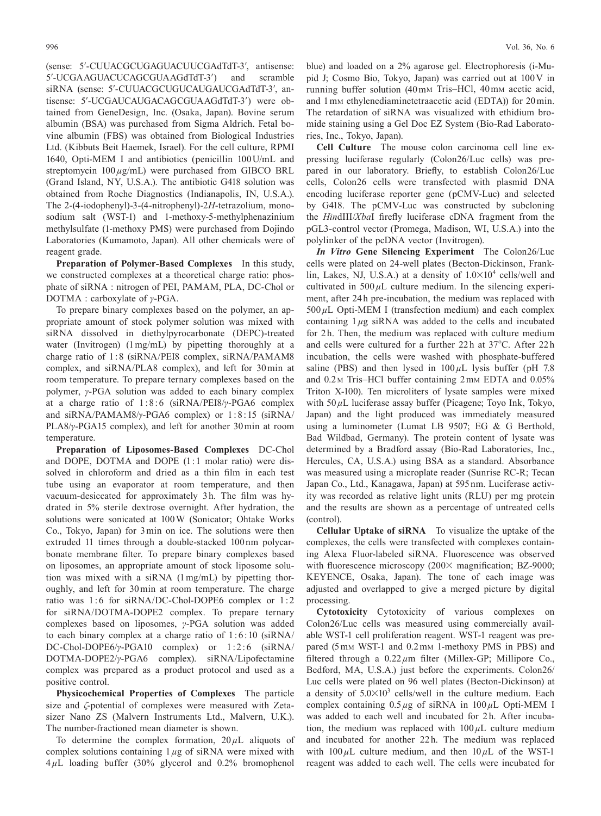(sense: 5′-CUUACGCUGAGUACUUCGAdTdT-3′, antisense: 5′-UCGAAGUACUCAGCGUAAGdTdT-3′) and scramble siRNA (sense: 5′-CUUACGCUGUCAUGAUCGAdTdT-3′, antisense: 5′-UCGAUCAUGACAGCGUAAGdTdT-3′) were obtained from GeneDesign, Inc. (Osaka, Japan). Bovine serum albumin (BSA) was purchased from Sigma Aldrich. Fetal bovine albumin (FBS) was obtained from Biological Industries Ltd. (Kibbuts Beit Haemek, Israel). For the cell culture, RPMI 1640, Opti-MEM I and antibiotics (penicillin 100U/mL and streptomycin 100  $\mu$ g/mL) were purchased from GIBCO BRL (Grand Island, NY, U.S.A.). The antibiotic G418 solution was obtained from Roche Diagnostics (Indianapolis, IN, U.S.A.). The 2-(4-iodophenyl)-3-(4-nitrophenyl)-2*H*-tetrazolium, monosodium salt (WST-1) and 1-methoxy-5-methylphenazinium methylsulfate (1-methoxy PMS) were purchased from Dojindo Laboratories (Kumamoto, Japan). All other chemicals were of reagent grade.

**Preparation of Polymer-Based Complexes** In this study, we constructed complexes at a theoretical charge ratio: phosphate of siRNA : nitrogen of PEI, PAMAM, PLA, DC-Chol or DOTMA : carboxylate of *γ*-PGA.

To prepare binary complexes based on the polymer, an appropriate amount of stock polymer solution was mixed with siRNA dissolved in diethylpyrocarbonate (DEPC)-treated water (Invitrogen) (1mg/mL) by pipetting thoroughly at a charge ratio of 1:8 (siRNA/PEI8 complex, siRNA/PAMAM8 complex, and siRNA/PLA8 complex), and left for 30min at room temperature. To prepare ternary complexes based on the polymer, *γ*-PGA solution was added to each binary complex at a charge ratio of 1: 8 :6 (siRNA/PEI8/*γ*-PGA6 complex and siRNA/PAMAM8/*γ*-PGA6 complex) or 1: 8:15 (siRNA/ PLA8/*γ*-PGA15 complex), and left for another 30min at room temperature.

**Preparation of Liposomes-Based Complexes** DC-Chol and DOPE, DOTMA and DOPE (1:1 molar ratio) were dissolved in chloroform and dried as a thin film in each test tube using an evaporator at room temperature, and then vacuum-desiccated for approximately 3 h. The film was hydrated in 5% sterile dextrose overnight. After hydration, the solutions were sonicated at 100W (Sonicator; Ohtake Works Co., Tokyo, Japan) for 3min on ice. The solutions were then extruded 11 times through a double-stacked 100nm polycarbonate membrane filter. To prepare binary complexes based on liposomes, an appropriate amount of stock liposome solution was mixed with a siRNA (1mg/mL) by pipetting thoroughly, and left for 30min at room temperature. The charge ratio was 1:6 for siRNA/DC-Chol-DOPE6 complex or 1:2 for siRNA/DOTMA-DOPE2 complex. To prepare ternary complexes based on liposomes, *γ*-PGA solution was added to each binary complex at a charge ratio of 1: 6:10 (siRNA/ DC-Chol-DOPE6/γ-PGA10 complex) or 1:2:6 (siRNA/ DOTMA-DOPE2/*γ*-PGA6 complex). siRNA/Lipofectamine complex was prepared as a product protocol and used as a positive control.

**Physicochemical Properties of Complexes** The particle size and *ζ*-potential of complexes were measured with Zetasizer Nano ZS (Malvern Instruments Ltd., Malvern, U.K.). The number-fractioned mean diameter is shown.

To determine the complex formation,  $20 \mu L$  aliquots of complex solutions containing 1*µ*g of siRNA were mixed with 4*µ*L loading buffer (30% glycerol and 0.2% bromophenol

blue) and loaded on a 2% agarose gel. Electrophoresis (i-Mupid J; Cosmo Bio, Tokyo, Japan) was carried out at 100V in running buffer solution (40mm Tris–HCl, 40mm acetic acid, and 1mm ethylenediaminetetraacetic acid (EDTA)) for 20min. The retardation of siRNA was visualized with ethidium bromide staining using a Gel Doc EZ System (Bio-Rad Laboratories, Inc., Tokyo, Japan).

**Cell Culture** The mouse colon carcinoma cell line expressing luciferase regularly (Colon26/Luc cells) was prepared in our laboratory. Briefly, to establish Colon26/Luc cells, Colon26 cells were transfected with plasmid DNA encoding luciferase reporter gene (pCMV-Luc) and selected by G418. The pCMV-Luc was constructed by subcloning the *Hin*dIII/*Xba*I firefly luciferase cDNA fragment from the pGL3-control vector (Promega, Madison, WI, U.S.A.) into the polylinker of the pcDNA vector (Invitrogen).

*In Vitro* **Gene Silencing Experiment** The Colon26/Luc cells were plated on 24-well plates (Becton-Dickinson, Franklin, Lakes, NJ, U.S.A.) at a density of  $1.0 \times 10^4$  cells/well and cultivated in  $500 \mu L$  culture medium. In the silencing experiment, after 24 h pre-incubation, the medium was replaced with 500*µ*L Opti-MEM I (transfection medium) and each complex containing 1*µ*g siRNA was added to the cells and incubated for 2h. Then, the medium was replaced with culture medium and cells were cultured for a further 22h at 37°C. After 22h incubation, the cells were washed with phosphate-buffered saline (PBS) and then lysed in  $100 \mu$ L lysis buffer (pH 7.8) and 0.2 <sup>m</sup> Tris–HCl buffer containing 2mm EDTA and 0.05% Triton X-100). Ten microliters of lysate samples were mixed with 50 $\mu$ L luciferase assay buffer (Picagene; Toyo Ink, Tokyo, Japan) and the light produced was immediately measured using a luminometer (Lumat LB 9507; EG & G Berthold, Bad Wildbad, Germany). The protein content of lysate was determined by a Bradford assay (Bio-Rad Laboratories, Inc., Hercules, CA, U.S.A.) using BSA as a standard. Absorbance was measured using a microplate reader (Sunrise RC-R; Tecan Japan Co., Ltd., Kanagawa, Japan) at 595 nm. Luciferase activity was recorded as relative light units (RLU) per mg protein and the results are shown as a percentage of untreated cells (control).

**Cellular Uptake of siRNA** To visualize the uptake of the complexes, the cells were transfected with complexes containing Alexa Fluor-labeled siRNA. Fluorescence was observed with fluorescence microscopy (200× magnification; BZ-9000; KEYENCE, Osaka, Japan). The tone of each image was adjusted and overlapped to give a merged picture by digital processing.

**Cytotoxicity** Cytotoxicity of various complexes on Colon26/Luc cells was measured using commercially available WST-1 cell proliferation reagent. WST-1 reagent was prepared (5mm WST-1 and 0.2mm 1-methoxy PMS in PBS) and filtered through a  $0.22 \mu m$  filter (Millex-GP; Millipore Co., Bedford, MA, U.S.A.) just before the experiments. Colon26/ Luc cells were plated on 96 well plates (Becton-Dickinson) at a density of  $5.0 \times 10^3$  cells/well in the culture medium. Each complex containing 0.5*µ*g of siRNA in 100*µ*L Opti-MEM I was added to each well and incubated for 2h. After incubation, the medium was replaced with  $100 \mu L$  culture medium and incubated for another 22h. The medium was replaced with  $100 \mu L$  culture medium, and then  $10 \mu L$  of the WST-1 reagent was added to each well. The cells were incubated for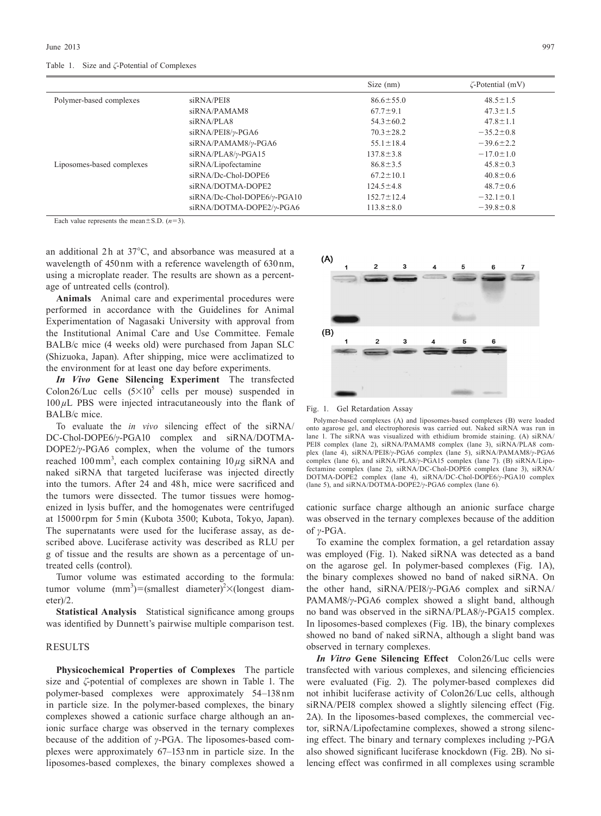|  |  |  |  |  |  | Table 1. Size and $\zeta$ -Potential of Complexes |
|--|--|--|--|--|--|---------------------------------------------------|
|--|--|--|--|--|--|---------------------------------------------------|

|                           |                             | Size $(nm)$      | $\zeta$ -Potential (mV) |
|---------------------------|-----------------------------|------------------|-------------------------|
| Polymer-based complexes   | siRNA/PEI8                  | $86.6 \pm 55.0$  | $48.5 \pm 1.5$          |
|                           | siRNA/PAMAM8                | $67.7 \pm 9.1$   | $47.3 \pm 1.5$          |
|                           | siRNA/PLA8                  | $54.3 \pm 60.2$  | $47.8 \pm 1.1$          |
|                           | $siRNA/PEI8/\gamma$ -PGA6   | $70.3 \pm 28.2$  | $-35.2 \pm 0.8$         |
|                           | siRNA/PAMAM8/y-PGA6         | $55.1 \pm 18.4$  | $-39.6 \pm 2.2$         |
|                           | $siRNA/PLA8/\gamma$ -PGA15  | $137.8 \pm 3.8$  | $-17.0 \pm 1.0$         |
| Liposomes-based complexes | siRNA/Lipofectamine         | $86.8 \pm 3.5$   | $45.8 \pm 0.3$          |
|                           | siRNA/Dc-Chol-DOPE6         | $67.2 \pm 10.1$  | $40.8 \pm 0.6$          |
|                           | siRNA/DOTMA-DOPE2           | $124.5 \pm 4.8$  | $48.7 \pm 0.6$          |
|                           | siRNA/Dc-Chol-DOPE6/γ-PGA10 | $152.7 \pm 12.4$ | $-32.1 \pm 0.1$         |
|                           | siRNA/DOTMA-DOPE2/y-PGA6    | $113.8 \pm 8.0$  | $-39.8 \pm 0.8$         |

Each value represents the mean $\pm$ S.D.  $(n=3)$ .

an additional 2h at 37°C, and absorbance was measured at a wavelength of 450nm with a reference wavelength of 630nm, using a microplate reader. The results are shown as a percentage of untreated cells (control).

**Animals** Animal care and experimental procedures were performed in accordance with the Guidelines for Animal Experimentation of Nagasaki University with approval from the Institutional Animal Care and Use Committee. Female BALB/c mice (4 weeks old) were purchased from Japan SLC (Shizuoka, Japan). After shipping, mice were acclimatized to the environment for at least one day before experiments.

*In Vivo* **Gene Silencing Experiment** The transfected Colon26/Luc cells  $(5 \times 10^5)$  cells per mouse) suspended in 100*µ*L PBS were injected intracutaneously into the flank of BALB/c mice.

To evaluate the *in vivo* silencing effect of the siRNA/ DC-Chol-DOPE6/*γ*-PGA10 complex and siRNA/DOTMA-DOPE2/*γ*-PGA6 complex, when the volume of the tumors reached 100 mm<sup>3</sup>, each complex containing  $10 \mu$ g siRNA and naked siRNA that targeted luciferase was injected directly into the tumors. After 24 and 48h, mice were sacrificed and the tumors were dissected. The tumor tissues were homogenized in lysis buffer, and the homogenates were centrifuged at 15000 rpm for 5min (Kubota 3500; Kubota, Tokyo, Japan). The supernatants were used for the luciferase assay, as described above. Luciferase activity was described as RLU per g of tissue and the results are shown as a percentage of untreated cells (control).

Tumor volume was estimated according to the formula: tumor volume  $(mm^3) = (smallest diameter)^2 \times (longest diameter)^2$ eter)/2.

**Statistical Analysis** Statistical significance among groups was identified by Dunnett's pairwise multiple comparison test.

#### **RESULTS**

**Physicochemical Properties of Complexes** The particle size and *ζ*-potential of complexes are shown in Table 1. The polymer-based complexes were approximately 54–138nm in particle size. In the polymer-based complexes, the binary complexes showed a cationic surface charge although an anionic surface charge was observed in the ternary complexes because of the addition of *γ*-PGA. The liposomes-based complexes were approximately 67–153 nm in particle size. In the liposomes-based complexes, the binary complexes showed a



Fig. 1. Gel Retardation Assay

Polymer-based complexes (A) and liposomes-based complexes (B) were loaded onto agarose gel, and electrophoresis was carried out. Naked siRNA was run in lane 1. The siRNA was visualized with ethidium bromide staining. (A) siRNA/ PEI8 complex (lane 2), siRNA/PAMAM8 complex (lane 3), siRNA/PLA8 complex (lane 4), siRNA/PEI8/*γ*-PGA6 complex (lane 5), siRNA/PAMAM8/*γ*-PGA6 complex (lane 6), and siRNA/PLA8/*γ*-PGA15 complex (lane 7). (B) siRNA/Lipofectamine complex (lane 2), siRNA/DC-Chol-DOPE6 complex (lane 3), siRNA/ DOTMA-DOPE2 complex (lane 4), siRNA/DC-Chol-DOPE6/*γ*-PGA10 complex (lane 5), and siRNA/DOTMA-DOPE2/*γ*-PGA6 complex (lane 6).

cationic surface charge although an anionic surface charge was observed in the ternary complexes because of the addition of *γ*-PGA.

To examine the complex formation, a gel retardation assay was employed (Fig. 1). Naked siRNA was detected as a band on the agarose gel. In polymer-based complexes (Fig. 1A), the binary complexes showed no band of naked siRNA. On the other hand, siRNA/PEI8/*γ*-PGA6 complex and siRNA/ PAMAM8/*γ*-PGA6 complex showed a slight band, although no band was observed in the siRNA/PLA8/*γ*-PGA15 complex. In liposomes-based complexes (Fig. 1B), the binary complexes showed no band of naked siRNA, although a slight band was observed in ternary complexes.

*In Vitro* **Gene Silencing Effect** Colon26/Luc cells were transfected with various complexes, and silencing efficiencies were evaluated (Fig. 2). The polymer-based complexes did not inhibit luciferase activity of Colon26/Luc cells, although siRNA/PEI8 complex showed a slightly silencing effect (Fig. 2A). In the liposomes-based complexes, the commercial vector, siRNA/Lipofectamine complexes, showed a strong silencing effect. The binary and ternary complexes including *γ*-PGA also showed significant luciferase knockdown (Fig. 2B). No silencing effect was confirmed in all complexes using scramble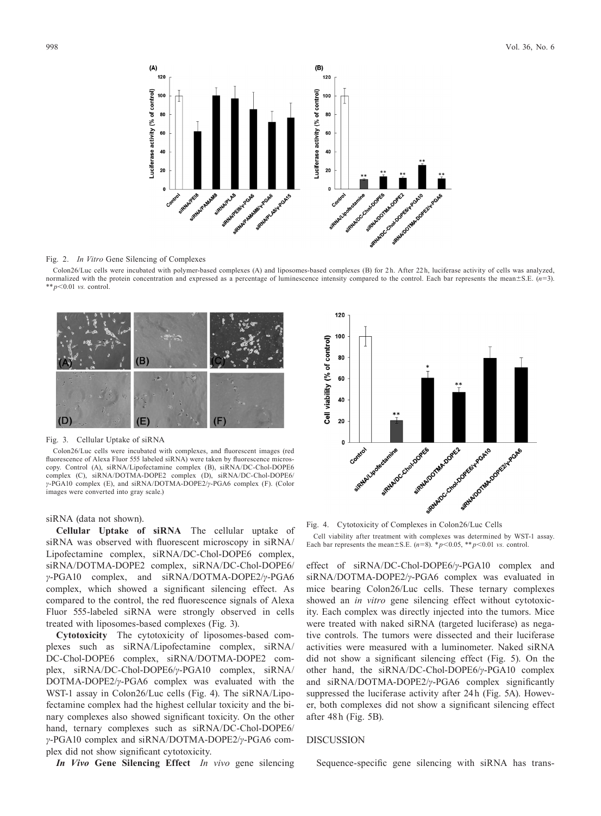

#### Fig. 2. *In Vitro* Gene Silencing of Complexes

Colon26/Luc cells were incubated with polymer-based complexes (A) and liposomes-based complexes (B) for 2 h. After 22 h, luciferase activity of cells was analyzed, normalized with the protein concentration and expressed as a percentage of luminescence intensity compared to the control. Each bar represents the mean±S.E. (*n*=3). \*\* *p*<0.01 *vs.* control.



#### Fig. 3. Cellular Uptake of siRNA

Colon26/Luc cells were incubated with complexes, and fluorescent images (red fluorescence of Alexa Fluor 555 labeled siRNA) were taken by fluorescence microscopy. Control (A), siRNA/Lipofectamine complex (B), siRNA/DC-Chol-DOPE6 complex (C), siRNA/DOTMA-DOPE2 complex (D), siRNA/DC-Chol-DOPE6/ *γ*-PGA10 complex (E), and siRNA/DOTMA-DOPE2/*γ*-PGA6 complex (F). (Color images were converted into gray scale.)

### siRNA (data not shown).

**Cellular Uptake of siRNA** The cellular uptake of siRNA was observed with fluorescent microscopy in siRNA/ Lipofectamine complex, siRNA/DC-Chol-DOPE6 complex, siRNA/DOTMA-DOPE2 complex, siRNA/DC-Chol-DOPE6/ *γ*-PGA10 complex, and siRNA/DOTMA-DOPE2/*γ*-PGA6 complex, which showed a significant silencing effect. As compared to the control, the red fluorescence signals of Alexa Fluor 555-labeled siRNA were strongly observed in cells treated with liposomes-based complexes (Fig. 3).

**Cytotoxicity** The cytotoxicity of liposomes-based complexes such as siRNA/Lipofectamine complex, siRNA/ DC-Chol-DOPE6 complex, siRNA/DOTMA-DOPE2 complex, siRNA/DC-Chol-DOPE6/*γ*-PGA10 complex, siRNA/ DOTMA-DOPE2/*γ*-PGA6 complex was evaluated with the WST-1 assay in Colon26/Luc cells (Fig. 4). The siRNA/Lipofectamine complex had the highest cellular toxicity and the binary complexes also showed significant toxicity. On the other hand, ternary complexes such as siRNA/DC-Chol-DOPE6/ *γ*-PGA10 complex and siRNA/DOTMA-DOPE2/*γ*-PGA6 complex did not show significant cytotoxicity.

*In Vivo* **Gene Silencing Effect** *In vivo* gene silencing



Cell viability after treatment with complexes was determined by WST-1 assay. Each bar represents the mean $\pm$ S.E.  $(n=8)$ . \*  $p<0.05$ , \*\*  $p<0.01$  *vs.* control.

effect of siRNA/DC-Chol-DOPE6/*γ*-PGA10 complex and siRNA/DOTMA-DOPE2/*γ*-PGA6 complex was evaluated in mice bearing Colon26/Luc cells. These ternary complexes showed an *in vitro* gene silencing effect without cytotoxicity. Each complex was directly injected into the tumors. Mice were treated with naked siRNA (targeted luciferase) as negative controls. The tumors were dissected and their luciferase activities were measured with a luminometer. Naked siRNA did not show a significant silencing effect (Fig. 5). On the other hand, the siRNA/DC-Chol-DOPE6/*γ*-PGA10 complex and siRNA/DOTMA-DOPE2/*γ*-PGA6 complex significantly suppressed the luciferase activity after 24h (Fig. 5A). However, both complexes did not show a significant silencing effect after 48h (Fig. 5B).

# **DISCUSSION**

Sequence-specific gene silencing with siRNA has trans-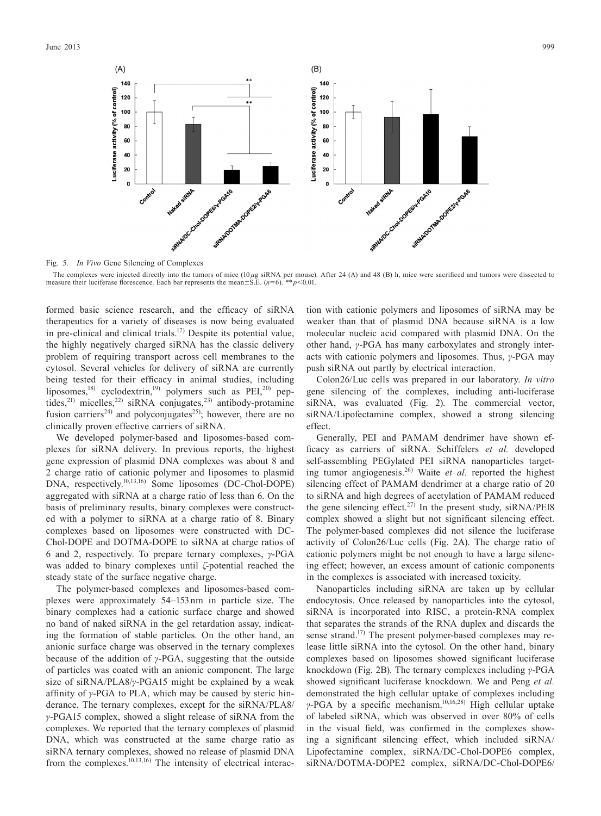

Fig. 5. *In Vivo* Gene Silencing of Complexes

The complexes were injected directly into the tumors of mice (10µg siRNA per mouse). After 24 (A) and 48 (B) h, mice were sacrificed and tumors were dissected to measure their luciferase florescence. Each bar represents the mean±S.E. (*n*=6). \*\**p*<0.01.

formed basic science research, and the efficacy of siRNA therapeutics for a variety of diseases is now being evaluated in pre-clinical and clinical trials.<sup>17)</sup> Despite its potential value, the highly negatively charged siRNA has the classic delivery problem of requiring transport across cell membranes to the cytosol. Several vehicles for delivery of siRNA are currently being tested for their efficacy in animal studies, including liposomes,<sup>18)</sup> cyclodextrin,<sup>19)</sup> polymers such as PEI,<sup>20</sup>) peptides,<sup>21)</sup> micelles,<sup>22)</sup> siRNA conjugates,<sup>23)</sup> antibody-protamine fusion carriers<sup>24)</sup> and polyconjugates<sup>25)</sup>; however, there are no clinically proven effective carriers of siRNA.

We developed polymer-based and liposomes-based complexes for siRNA delivery. In previous reports, the highest gene expression of plasmid DNA complexes was about 8 and 2 charge ratio of cationic polymer and liposomes to plasmid DNA, respectively.10,13,16) Some liposomes (DC-Chol-DOPE) aggregated with siRNA at a charge ratio of less than 6. On the basis of preliminary results, binary complexes were constructed with a polymer to siRNA at a charge ratio of 8. Binary complexes based on liposomes were constructed with DC-Chol-DOPE and DOTMA-DOPE to siRNA at charge ratios of 6 and 2, respectively. To prepare ternary complexes, *γ*-PGA was added to binary complexes until *ζ*-potential reached the steady state of the surface negative charge.

The polymer-based complexes and liposomes-based complexes were approximately 54–153 nm in particle size. The binary complexes had a cationic surface charge and showed no band of naked siRNA in the gel retardation assay, indicating the formation of stable particles. On the other hand, an anionic surface charge was observed in the ternary complexes because of the addition of *γ*-PGA, suggesting that the outside of particles was coated with an anionic component. The large size of siRNA/PLA8/*γ*-PGA15 might be explained by a weak affinity of *γ*-PGA to PLA, which may be caused by steric hinderance. The ternary complexes, except for the siRNA/PLA8/ *γ*-PGA15 complex, showed a slight release of siRNA from the complexes. We reported that the ternary complexes of plasmid DNA, which was constructed at the same charge ratio as siRNA ternary complexes, showed no release of plasmid DNA from the complexes.<sup>10,13,16)</sup> The intensity of electrical interaction with cationic polymers and liposomes of siRNA may be weaker than that of plasmid DNA because siRNA is a low molecular nucleic acid compared with plasmid DNA. On the other hand, *γ*-PGA has many carboxylates and strongly interacts with cationic polymers and liposomes. Thus, *γ*-PGA may push siRNA out partly by electrical interaction.

Colon26/Luc cells was prepared in our laboratory. *In vitro* gene silencing of the complexes, including anti-luciferase siRNA, was evaluated (Fig. 2). The commercial vector, siRNA/Lipofectamine complex, showed a strong silencing effect.

Generally, PEI and PAMAM dendrimer have shown efficacy as carriers of siRNA. Schiffelers *et al.* developed self-assembling PEGylated PEI siRNA nanoparticles targeting tumor angiogenesis.26) Waite *et al.* reported the highest silencing effect of PAMAM dendrimer at a charge ratio of 20 to siRNA and high degrees of acetylation of PAMAM reduced the gene silencing effect.<sup>27)</sup> In the present study, siRNA/PEI8 complex showed a slight but not significant silencing effect. The polymer-based complexes did not silence the luciferase activity of Colon26/Luc cells (Fig. 2A). The charge ratio of cationic polymers might be not enough to have a large silencing effect; however, an excess amount of cationic components in the complexes is associated with increased toxicity.

Nanoparticles including siRNA are taken up by cellular endocytosis. Once released by nanoparticles into the cytosol, siRNA is incorporated into RISC, a protein-RNA complex that separates the strands of the RNA duplex and discards the sense strand.<sup>17)</sup> The present polymer-based complexes may release little siRNA into the cytosol. On the other hand, binary complexes based on liposomes showed significant luciferase knockdown (Fig. 2B). The ternary complexes including *γ*-PGA showed significant luciferase knockdown. We and Peng *et al.* demonstrated the high cellular uptake of complexes including *γ*-PGA by a specific mechanism.<sup>10,16,28)</sup> High cellular uptake of labeled siRNA, which was observed in over 80% of cells in the visual field, was confirmed in the complexes showing a significant silencing effect, which included siRNA/ Lipofectamine complex, siRNA/DC-Chol-DOPE6 complex, siRNA/DOTMA-DOPE2 complex, siRNA/DC-Chol-DOPE6/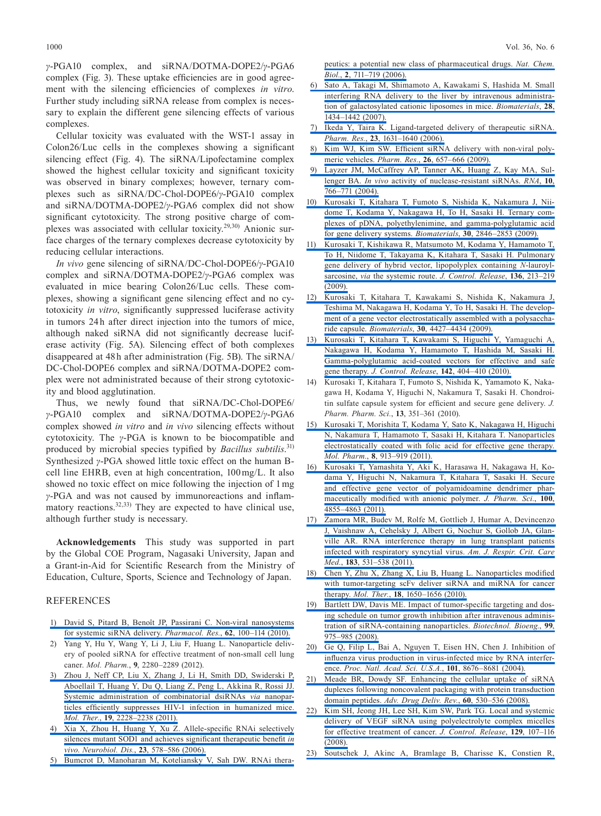1000 Vol. 36, No. 6

*γ*-PGA10 complex, and siRNA/DOTMA-DOPE2/*γ*-PGA6 complex (Fig. 3). These uptake efficiencies are in good agreement with the silencing efficiencies of complexes *in vitro*. Further study including siRNA release from complex is necessary to explain the different gene silencing effects of various complexes.

Cellular toxicity was evaluated with the WST-1 assay in Colon26/Luc cells in the complexes showing a significant silencing effect (Fig. 4). The siRNA/Lipofectamine complex showed the highest cellular toxicity and significant toxicity was observed in binary complexes; however, ternary complexes such as siRNA/DC-Chol-DOPE6/*γ*-PGA10 complex and siRNA/DOTMA-DOPE2/*γ*-PGA6 complex did not show significant cytotoxicity. The strong positive charge of complexes was associated with cellular toxicity.29,30) Anionic surface charges of the ternary complexes decrease cytotoxicity by reducing cellular interactions.

*In vivo* gene silencing of siRNA/DC-Chol-DOPE6/*γ*-PGA10 complex and siRNA/DOTMA-DOPE2/*γ*-PGA6 complex was evaluated in mice bearing Colon26/Luc cells. These complexes, showing a significant gene silencing effect and no cytotoxicity *in vitro*, significantly suppressed luciferase activity in tumors 24h after direct injection into the tumors of mice, although naked siRNA did not significantly decrease luciferase activity (Fig. 5A). Silencing effect of both complexes disappeared at 48 h after administration (Fig. 5B). The siRNA/ DC-Chol-DOPE6 complex and siRNA/DOTMA-DOPE2 complex were not administrated because of their strong cytotoxicity and blood agglutination.

Thus, we newly found that siRNA/DC-Chol-DOPE6/ *γ*-PGA10 complex and siRNA/DOTMA-DOPE2/*γ*-PGA6 complex showed *in vitro* and *in vivo* silencing effects without cytotoxicity. The *γ*-PGA is known to be biocompatible and produced by microbial species typified by *Bacillus subtilis*. 31) Synthesized *γ*-PGA showed little toxic effect on the human Bcell line EHRB, even at high concentration, 100mg/L. It also showed no toxic effect on mice following the injection of 1mg *γ*-PGA and was not caused by immunoreactions and inflammatory reactions.<sup>32,33)</sup> They are expected to have clinical use, although further study is necessary.

**Acknowledgements** This study was supported in part by the Global COE Program, Nagasaki University, Japan and a Grant-in-Aid for Scientific Research from the Ministry of Education, Culture, Sports, Science and Technology of Japan.

## **REFERENCES**

- 1) [David S, Pitard B, Benoît JP, Passirani C. Non-viral nanosystems](http://dx.doi.org/10.1016/j.phrs.2009.11.013)  [for systemic siRNA delivery.](http://dx.doi.org/10.1016/j.phrs.2009.11.013) *Pharmacol. Res.*, **62**, 100–114 (2010).
- 2) Yang Y, Hu Y, Wang Y, Li J, Liu F, Huang L. Nanoparticle delivery of pooled siRNA for effective treatment of non-small cell lung caner. *Mol. Pharm.*, **9**, 2280–2289 (2012).
- 3) [Zhou J, Neff CP, Liu X, Zhang J, Li H, Smith DD, Swiderski P,](http://dx.doi.org/10.1038/mt.2011.207)  [Aboellail T, Huang Y, Du Q, Liang Z, Peng L, Akkina R, Rossi JJ.](http://dx.doi.org/10.1038/mt.2011.207)  [Systemic administration of combinatorial dsiRNAs](http://dx.doi.org/10.1038/mt.2011.207) *via* nanopar[ticles efficiently suppresses HIV-1 infection in humanized mice.](http://dx.doi.org/10.1038/mt.2011.207)  *Mol. Ther.*, **19**[, 2228–2238 \(2011\).](http://dx.doi.org/10.1038/mt.2011.207)
- 4) [Xia X, Zhou H, Huang Y, Xu Z. Allele-specific RNAi selectively](http://dx.doi.org/10.1016/j.nbd.2006.04.019)  [silences mutant SOD1 and achieves significant therapeutic benefit](http://dx.doi.org/10.1016/j.nbd.2006.04.019) *in vivo*. *Neurobiol. Dis.*, **23**[, 578–586 \(2006\).](http://dx.doi.org/10.1016/j.nbd.2006.04.019)
- 5) [Bumcrot D, Manoharan M, Koteliansky V, Sah DW. RNAi thera-](http://dx.doi.org/10.1038/nchembio839)

[peutics: a potential new class of pharmaceutical drugs.](http://dx.doi.org/10.1038/nchembio839) *Nat. Chem. Biol.*, **2**[, 711–719 \(2006\).](http://dx.doi.org/10.1038/nchembio839)

- 6) [Sato A, Takagi M, Shimamoto A, Kawakami S, Hashida M. Small](http://dx.doi.org/10.1016/j.biomaterials.2006.11.010)  [interfering RNA delivery to the liver by intravenous administra](http://dx.doi.org/10.1016/j.biomaterials.2006.11.010)[tion of galactosylated cationic liposomes in mice.](http://dx.doi.org/10.1016/j.biomaterials.2006.11.010) *Biomaterials*, **28**, [1434–1442 \(2007\).](http://dx.doi.org/10.1016/j.biomaterials.2006.11.010)
- 7) [Ikeda Y, Taira K. Ligand-targeted delivery of therapeutic siRNA.](http://dx.doi.org/10.1007/s11095-006-9001-x)  *Pharm. Res.*, **23**[, 1631–1640 \(2006\).](http://dx.doi.org/10.1007/s11095-006-9001-x)
- 8) [Kim WJ, Kim SW. Efficient siRNA delivery with non-viral poly](http://dx.doi.org/10.1007/s11095-008-9774-1)meric vehicles. *Pharm. Res.*, **26**[, 657–666 \(2009\).](http://dx.doi.org/10.1007/s11095-008-9774-1)
- 9) [Layzer JM, McCaffrey AP, Tanner AK, Huang Z, Kay MA, Sul](http://dx.doi.org/10.1261/rna.5239604)lenger BA. *In vivo* [activity of nuclease-resistant siRNAs.](http://dx.doi.org/10.1261/rna.5239604) *RNA*, **10**, [766–771 \(2004\).](http://dx.doi.org/10.1261/rna.5239604)
- 10) [Kurosaki T, Kitahara T, Fumoto S, Nishida K, Nakamura J, Nii](http://dx.doi.org/10.1016/j.biomaterials.2009.01.055)[dome T, Kodama Y, Nakagawa H, To H, Sasaki H. Ternary com](http://dx.doi.org/10.1016/j.biomaterials.2009.01.055)[plexes of pDNA, polyethylenimine, and gamma-polyglutamic acid](http://dx.doi.org/10.1016/j.biomaterials.2009.01.055)  [for gene delivery systems.](http://dx.doi.org/10.1016/j.biomaterials.2009.01.055) *Biomaterials*, **30**, 2846–2853 (2009).
- 11) [Kurosaki T, Kishikawa R, Matsumoto M, Kodama Y, Hamamoto T,](http://dx.doi.org/10.1016/j.jconrel.2009.02.005)  [To H, Niidome T, Takayama K, Kitahara T, Sasaki H. Pulmonary](http://dx.doi.org/10.1016/j.jconrel.2009.02.005)  [gene delivery of hybrid vector, lipopolyplex containing](http://dx.doi.org/10.1016/j.jconrel.2009.02.005) *N*-lauroylsarcosine, *via* [the systemic route.](http://dx.doi.org/10.1016/j.jconrel.2009.02.005) *J. Control. Release*, **136**, 213–219 [\(2009\).](http://dx.doi.org/10.1016/j.jconrel.2009.02.005)
- 12) [Kurosaki T, Kitahara T, Kawakami S, Nishida K, Nakamura J,](http://dx.doi.org/10.1016/j.biomaterials.2009.04.041)  [Teshima M, Nakagawa H, Kodama Y, To H, Sasaki H. The develop](http://dx.doi.org/10.1016/j.biomaterials.2009.04.041)[ment of a gene vector electrostatically assembled with a polysaccha](http://dx.doi.org/10.1016/j.biomaterials.2009.04.041)ride capsule. *Biomaterials*, **30**[, 4427–4434 \(2009\).](http://dx.doi.org/10.1016/j.biomaterials.2009.04.041)
- 13) [Kurosaki T, Kitahara T, Kawakami S, Higuchi Y, Yamaguchi A,](http://dx.doi.org/10.1016/j.jconrel.2009.11.010)  [Nakagawa H, Kodama Y, Hamamoto T, Hashida M, Sasaki H.](http://dx.doi.org/10.1016/j.jconrel.2009.11.010)  [Gamma-polyglutamic acid-coated vectors for effective and safe](http://dx.doi.org/10.1016/j.jconrel.2009.11.010)  gene therapy. *[J. Control. Release](http://dx.doi.org/10.1016/j.jconrel.2009.11.010)*, **142**, 404–410 (2010).
- 14) Kurosaki T, Kitahara T, Fumoto S, Nishida K, Yamamoto K, Nakagawa H, Kodama Y, Higuchi N, Nakamura T, Sasaki H. Chondroitin sulfate capsule system for efficient and secure gene delivery. *J. Pharm. Pharm. Sci.*, **13**, 351–361 (2010).
- 15) [Kurosaki T, Morishita T, Kodama Y, Sato K, Nakagawa H, Higuchi](http://dx.doi.org/10.1021/mp2001268)  [N, Nakamura T, Hamamoto T, Sasaki H, Kitahara T. Nanoparticles](http://dx.doi.org/10.1021/mp2001268)  [electrostatically coated with folic acid for effective gene therapy.](http://dx.doi.org/10.1021/mp2001268)  *Mol. Pharm.*, **8**[, 913–919 \(2011\).](http://dx.doi.org/10.1021/mp2001268)
- 16) [Kurosaki T, Yamashita Y, Aki K, Harasawa H, Nakagawa H, Ko](http://dx.doi.org/10.1002/jps.22701)[dama Y, Higuchi N, Nakamura T, Kitahara T, Sasaki H. Secure](http://dx.doi.org/10.1002/jps.22701)  [and effective gene vector of polyamidoamine dendrimer phar](http://dx.doi.org/10.1002/jps.22701)[maceutically modified with anionic polymer.](http://dx.doi.org/10.1002/jps.22701) *J. Pharm. Sci.*, **100**, [4855–4863 \(2011\).](http://dx.doi.org/10.1002/jps.22701)
- 17) [Zamora MR, Budev M, Rolfe M, Gottlieb J, Humar A, Devincenzo](http://dx.doi.org/10.1164/rccm.201003-0422OC)  [J, Vaishnaw A, Cehelsky J, Albert G, Nochur S, Gollob JA, Glan](http://dx.doi.org/10.1164/rccm.201003-0422OC)[ville AR. RNA interference therapy in lung transplant patients](http://dx.doi.org/10.1164/rccm.201003-0422OC)  [infected with respiratory syncytial virus.](http://dx.doi.org/10.1164/rccm.201003-0422OC) *Am. J. Respir. Crit. Care Med.*, **183**[, 531–538 \(2011\).](http://dx.doi.org/10.1164/rccm.201003-0422OC)
- 18) [Chen Y, Zhu X, Zhang X, Liu B, Huang L. Nanoparticles modified](http://dx.doi.org/10.1038/mt.2010.136)  [with tumor-targeting scFv deliver siRNA and miRNA for cancer](http://dx.doi.org/10.1038/mt.2010.136)  therapy. *Mol. Ther.*, **18**[, 1650–1656 \(2010\).](http://dx.doi.org/10.1038/mt.2010.136)
- 19) [Bartlett DW, Davis ME. Impact of tumor-specific targeting and dos](http://dx.doi.org/10.1002/bit.21668)[ing schedule on tumor growth inhibition after intravenous adminis](http://dx.doi.org/10.1002/bit.21668)[tration of siRNA-containing nanoparticles.](http://dx.doi.org/10.1002/bit.21668) *Biotechnol. Bioeng.*, **99**, [975–985 \(2008\).](http://dx.doi.org/10.1002/bit.21668)
- 20) [Ge Q, Filip L, Bai A, Nguyen T, Eisen HN, Chen J. Inhibition of](http://dx.doi.org/10.1073/pnas.0402486101)  [influenza virus production in virus-infected mice by RNA interfer](http://dx.doi.org/10.1073/pnas.0402486101)ence. *[Proc. Natl. Acad. Sci. U.S.A.](http://dx.doi.org/10.1073/pnas.0402486101)*, **101**, 8676–8681 (2004).
- 21) [Meade BR, Dowdy SF. Enhancing the cellular uptake of siRNA](http://dx.doi.org/10.1016/j.addr.2007.10.004)  [duplexes following noncovalent packaging with protein transduction](http://dx.doi.org/10.1016/j.addr.2007.10.004)  domain peptides. *[Adv. Drug Deliv. Rev.](http://dx.doi.org/10.1016/j.addr.2007.10.004)*, **60**, 530–536 (2008).
- 22) [Kim SH, Jeong JH, Lee SH, Kim SW, Park TG. Local and systemic](http://dx.doi.org/10.1016/j.jconrel.2008.03.008)  [delivery of VEGF siRNA using polyelectrolyte complex micelles](http://dx.doi.org/10.1016/j.jconrel.2008.03.008)  [for effective treatment of cancer.](http://dx.doi.org/10.1016/j.jconrel.2008.03.008) *J. Control. Release*, **129**, 107–116 [\(2008\).](http://dx.doi.org/10.1016/j.jconrel.2008.03.008)
- 23) [Soutschek J, Akinc A, Bramlage B, Charisse K, Constien R,](http://dx.doi.org/10.1038/nature03121)